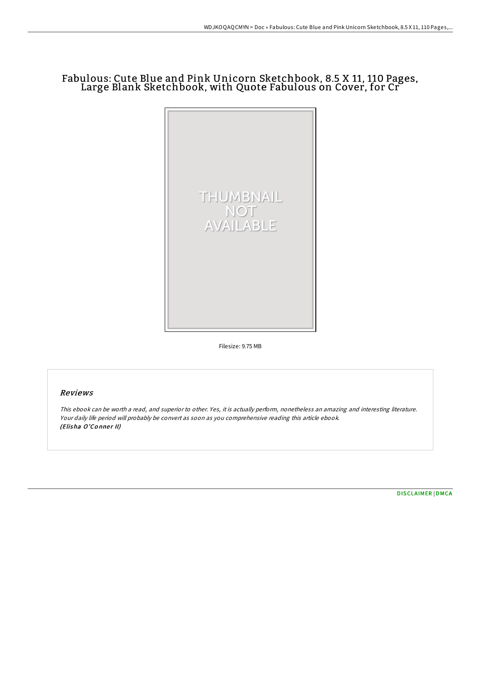# Fabulous: Cute Blue and Pink Unicorn Sketchbook, 8.5 X 11, 110 Pages, Large Blank Sketchbook, with Quote Fabulous on Cover, for Cr



Filesize: 9.75 MB

## Reviews

This ebook can be worth <sup>a</sup> read, and superior to other. Yes, it is actually perform, nonetheless an amazing and interesting literature. Your daily life period will probably be convert as soon as you comprehensive reading this article ebook. (Elisha O'Conner II)

[DISCLAIMER](http://almighty24.tech/disclaimer.html) | [DMCA](http://almighty24.tech/dmca.html)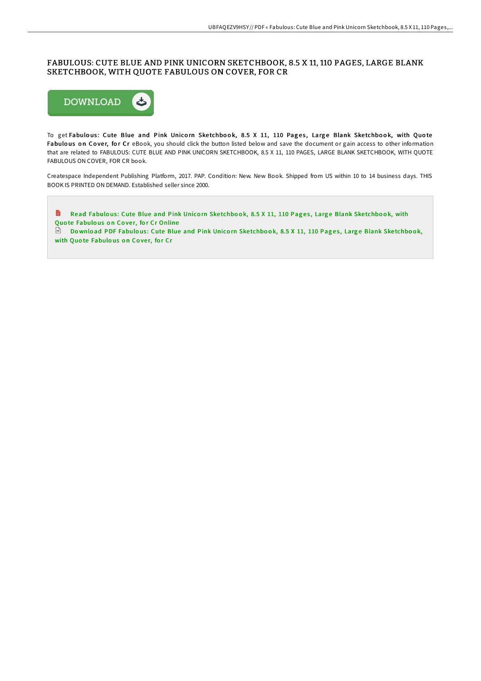### FABULOUS: CUTE BLUE AND PINK UNICORN SKETCHBOOK, 8.5 X 11, 110 PAGES, LARGE BLANK SKETCHBOOK, WITH QUOTE FABULOUS ON COVER, FOR CR



To get Fabulous: Cute Blue and Pink Unicorn Sketchbook, 8.5 X 11, 110 Pages, Large Blank Sketchbook, with Quote Fabulous on Cover, for Cr eBook, you should click the button listed below and save the document or gain access to other information that are related to FABULOUS: CUTE BLUE AND PINK UNICORN SKETCHBOOK, 8.5 X 11, 110 PAGES, LARGE BLANK SKETCHBOOK, WITH QUOTE FABULOUS ON COVER, FOR CR book.

Createspace Independent Publishing Platform, 2017. PAP. Condition: New. New Book. Shipped from US within 10 to 14 business days. THIS BOOK IS PRINTED ON DEMAND. Established seller since 2000.